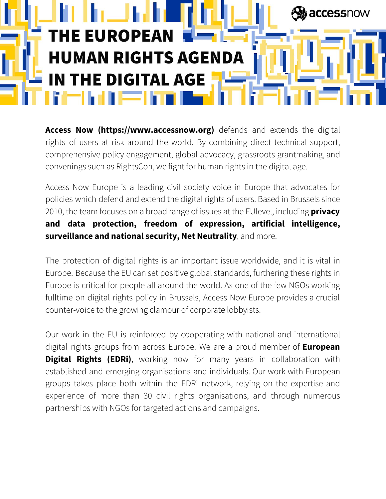

**Access Now (https://www.accessnow.org)** defends and extends the digital rights of users at risk around the world. By combining direct technical support, comprehensive policy engagement, global advocacy, grassroots grantmaking, and convenings such as RightsCon, we fight for human rights in the digital age.

Access Now Europe is a leading civil society voice in Europe that advocates for policies which defend and extend the digital rights of users. Based in Brussels since 2010, the team focuses on a broad range of issues at the EUlevel, including **privacy and data protection, freedom of expression, artificial intelligence, surveillance and national security, Net Neutrality**, and more.

The protection of digital rights is an important issue worldwide, and it is vital in Europe. Because the EU can set positive global standards, furthering these rights in Europe is critical for people all around the world. As one of the few NGOs working fulltime on digital rights policy in Brussels, Access Now Europe provides a crucial counter-voice to the growing clamour of corporate lobbyists.

Our work in the EU is reinforced by cooperating with national and international digital rights groups from across Europe. We are a proud member of **European Digital Rights (EDRi)**, working now for many years in collaboration with established and emerging organisations and individuals. Our work with European groups takes place both within the EDRi network, relying on the expertise and experience of more than 30 civil rights organisations, and through numerous partnerships with NGOs for targeted actions and campaigns.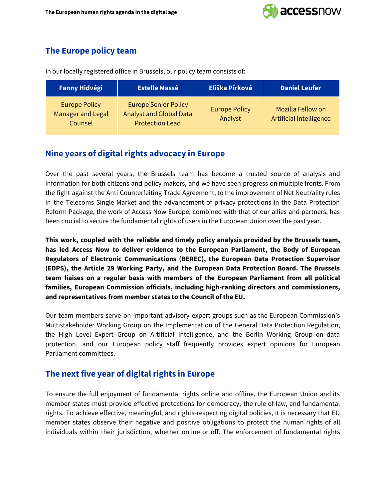

## **The Europe policy team**

In our locally registered office in Brussels, our policy team consists of:

| <b>Fanny Hidvégi</b>                                        | <b>Estelle Massé</b>                                                                    | Eliška Pírková                  | <b>Daniel Leufer</b>                         |
|-------------------------------------------------------------|-----------------------------------------------------------------------------------------|---------------------------------|----------------------------------------------|
| <b>Europe Policy</b><br><b>Manager and Legal</b><br>Counsel | <b>Europe Senior Policy</b><br><b>Analyst and Global Data</b><br><b>Protection Lead</b> | <b>Europe Policy</b><br>Analyst | Mozilla Fellow on<br>Artificial Intelligence |

### **Nine years of digital rights advocacy in Europe**

Over the past several years, the Brussels team has become a trusted source of analysis and information for both citizens and policy makers, and we have seen progress on multiple fronts. From the fight against the Anti Counterfeiting Trade Agreement, to the improvement of Net Neutrality rules in the Telecoms Single Market and the advancement of privacy protections in the Data Protection Reform Package, the work of Access Now Europe, combined with that of our allies and partners, has been crucial to secure the fundamental rights of users in the European Union over the past year.

**This work, coupled with the reliable and timely policy analysis provided by the Brussels team, has led Access Now to deliver evidence to the European Parliament, the Body of European Regulators of Electronic Communications (BEREC), the European Data Protection Supervisor (EDPS), the Article 29 Working Party, and the European Data Protection Board. The Brussels team liaises on a regular basis with members of the European Parliament from all political families, European Commission officials, including high-ranking directors and commissioners, and representatives from member states to the Council of the EU.**

Our team members serve on important advisory expert groups such as the European Commission's Multistakeholder Working Group on the Implementation of the General Data Protection Regulation, the High Level Expert Group on Artificial Intelligence, and the Berlin Working Group on data protection, and our European policy staff frequently provides expert opinions for European Parliament committees.

# **The next five year of digital rights in Europe**

To ensure the full enjoyment of fundamental rights online and offline, the European Union and its member states must provide effective protections for democracy, the rule of law, and fundamental rights. To achieve effective, meaningful, and rights-respecting digital policies, it is necessary that EU member states observe their negative and positive obligations to protect the human rights of all individuals within their jurisdiction, whether online or off. The enforcement of fundamental rights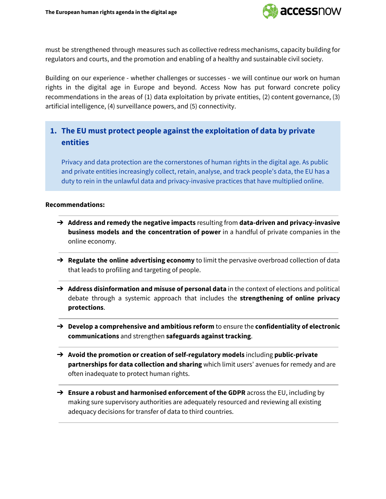

must be strengthened through measures such as collective redress mechanisms, capacity building for regulators and courts, and the promotion and enabling of a healthy and sustainable civil society.

Building on our experience - whether challenges or successes - we will continue our work on human rights in the digital age in Europe and beyond. Access Now has put forward concrete policy recommendations in the areas of (1) data exploitation by private entities, (2) content governance, (3) artificial intelligence, (4) surveillance powers, and (5) connectivity.

## **1. The EU must protect people against the exploitation of data by private entities**

Privacy and data protection are the cornerstones of human rights in the digital age. As public and private entities increasingly collect, retain, analyse, and track people's data, the EU has a duty to rein in the unlawful data and privacy-invasive practices that have multiplied online.

- ➔ **Address and remedy the negative impacts** resulting from **data-driven and privacy-invasive business models and the concentration of power** in a handful of private companies in the online economy.
- ➔ **Regulate the online advertising economy** to limit the pervasive overbroad collection of data that leads to profiling and targeting of people.
- ➔ **Address disinformation and misuse of personal data** in the context of elections and political debate through a systemic approach that includes the **strengthening of online privacy protections**.
- ➔ **Develop a comprehensive and ambitious reform** to ensure the **confidentiality of electronic communications** and strengthen **safeguards against tracking**.
- ➔ **Avoid the promotion or creation of self-regulatory models** including **public-private partnerships for data collection and sharing** which limit users' avenues for remedy and are often inadequate to protect human rights.
- ➔ **Ensure a robust and harmonised enforcement of the GDPR** across the EU, including by making sure supervisory authorities are adequately resourced and reviewing all existing adequacy decisions for transfer of data to third countries.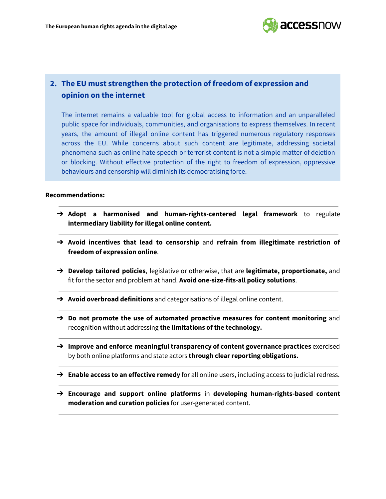

## **2. The EU must strengthen the protection of freedom of expression and opinion on the internet**

The internet remains a valuable tool for global access to information and an unparalleled public space for individuals, communities, and organisations to express themselves. In recent years, the amount of illegal online content has triggered numerous regulatory responses across the EU. While concerns about such content are legitimate, addressing societal phenomena such as online hate speech or terrorist content is not a simple matter of deletion or blocking. Without effective protection of the right to freedom of expression, oppressive behaviours and censorship will diminish its democratising force.

- ➔ **Adopt a harmonised and human-rights-centered legal framework** to regulate **intermediary liability for illegal online content.**
- ➔ **Avoid incentives that lead to censorship** and **refrain from illegitimate restriction of freedom of expression online**.
- ➔ **Develop tailored policies**, legislative or otherwise, that are **legitimate, proportionate,** and fit for the sector and problem at hand. **Avoid one-size-fits-all policy solutions**.
- ➔ **Avoid overbroad definitions** and categorisations of illegal online content.
- ➔ **Do not promote the use of automated proactive measures for content monitoring** and recognition without addressing **the limitations of the technology.**
- ➔ **Improve and enforce meaningful transparency of content governance practices** exercised by both online platforms and state actors **through clear reporting obligations.**
- ➔ **Enable access to an effective remedy** for all online users, including access to judicial redress.
- ➔ **Encourage and support online platforms** in **developing human-rights-based content moderation and curation policies** for user-generated content.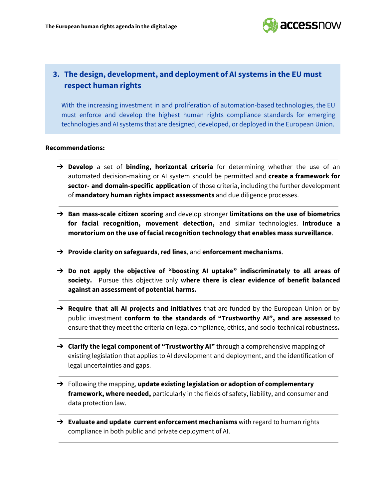

### **3. The design, development, and deployment of AI systems in the EU must respect human rights**

With the increasing investment in and proliferation of automation-based technologies, the EU must enforce and develop the highest human rights compliance standards for emerging technologies and AI systems that are designed, developed, or deployed in the European Union.

- ➔ **Develop** a set of **binding, horizontal criteria** for determining whether the use of an automated decision-making or AI system should be permitted and **create a framework for sector- and domain-specific application** of those criteria, including the further development of **mandatory human rights impact assessments** and due diligence processes.
- ➔ **Ban mass-scale citizen scoring** and develop stronger **limitations on the use of biometrics for facial recognition, movement detection,** and similar technologies. **Introduce a moratorium on the use of facial recognition technology that enables mass surveillance**.
- ➔ **Provide clarity on safeguards**, **red lines**, and **enforcement mechanisms**.
- ➔ **Do not apply the objective of "boosting AI uptake" indiscriminately to all areas of society.** Pursue this objective only **where there is clear evidence of benefit balanced against an assessment of potential harms.**
- ➔ **Require that all AI projects and initiatives** that are funded by the European Union or by public investment **conform to the standards of "Trustworthy AI", and are assessed** to ensure that they meet the criteria on legal compliance, ethics, and socio-technical robustness**.**
- ➔ **Clarify the legal component of "Trustworthy AI"** through a comprehensive mapping of existing legislation that applies to AI development and deployment, and the identification of legal uncertainties and gaps.
- ➔ Following the mapping, **update existing legislation or adoption of complementary framework, where needed,** particularly in the fields of safety, liability, and consumer and data protection law.
- ➔ **Evaluate and update current enforcement mechanisms** with regard to human rights compliance in both public and private deployment of AI.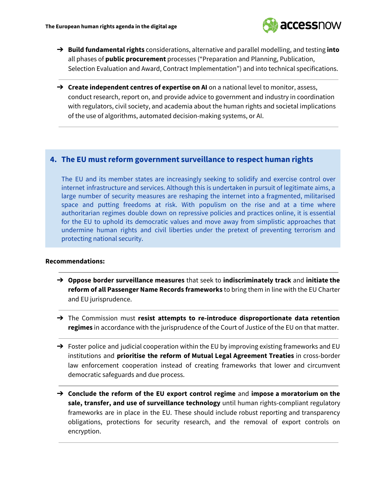

- ➔ **Build fundamental rights** considerations, alternative and parallel modelling, and testing **into** all phases of **public procurement** processes ("Preparation and Planning, Publication, Selection Evaluation and Award, Contract Implementation") and into technical specifications.
- ➔ **Create independent centres of expertise on AI** on a national level to monitor, assess, conduct research, report on, and provide advice to government and industry in coordination with regulators, civil society, and academia about the human rights and societal implications of the use of algorithms, automated decision-making systems, or AI.

#### **4. The EU must reform government surveillance to respect human rights**

The EU and its member states are increasingly seeking to solidify and exercise control over internet infrastructure and services. Although this is undertaken in pursuit of legitimate aims, a large number of security measures are reshaping the internet into a fragmented, militarised space and putting freedoms at risk. With populism on the rise and at a time where authoritarian regimes double down on repressive policies and practices online, it is essential for the EU to uphold its democratic values and move away from simplistic approaches that undermine human rights and civil liberties under the pretext of preventing terrorism and protecting national security.

- ➔ **Oppose border surveillance measures** that seek to **indiscriminately track** and **initiate the reform of all Passenger Name Records frameworks** to bring them in line with the EU Charter and EU jurisprudence.
- ➔ The Commission must **resist attempts to re-introduce disproportionate data retention regimes** in accordance with the jurisprudence of the Court of Justice of the EU on that matter.
- $\rightarrow$  Foster police and judicial cooperation within the EU by improving existing frameworks and EU institutions and **prioritise the reform of Mutual Legal Agreement Treaties** in cross-border law enforcement cooperation instead of creating frameworks that lower and circumvent democratic safeguards and due process.
- ➔ **Conclude the reform of the EU export control regime** and **impose a moratorium on the sale, transfer, and use of surveillance technology** until human rights-compliant regulatory frameworks are in place in the EU. These should include robust reporting and transparency obligations, protections for security research, and the removal of export controls on encryption.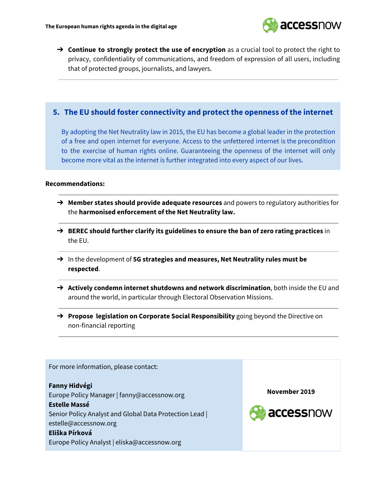

➔ **Continue to strongly protect the use of encryption** as a crucial tool to protect the right to privacy, confidentiality of communications, and freedom of expression of all users, including that of protected groups, journalists, and lawyers.

### **5. The EU should foster connectivity and protect the openness of the internet**

By adopting the Net Neutrality law in 2015, the EU has become a global leader in the protection of a free and open internet for everyone. Access to the unfettered internet is the precondition to the exercise of human rights online. Guaranteeing the openness of the internet will only become more vital as the internet is further integrated into every aspect of our lives.

#### **Recommendations:**

- ➔ **Member states should provide adequate resources** and powers to regulatory authorities for the **harmonised enforcement of the Net Neutrality law.**
- ➔ **BEREC should further clarify its guidelines to ensure the ban of zero rating practices** in the EU.
- ➔ In the development of **5G strategies and measures, Net Neutrality rules must be respected**.
- ➔ **Actively condemn internet shutdowns and network discrimination**, both inside the EU and around the world, in particular through Electoral Observation Missions.
- ➔ **Propose legislation on Corporate Social Responsibility** going beyond the Directive on non-financial reporting

For more information, please contact: **Fanny Hidvégi November 2019**Europe Policy Manager | fanny@accessnow.org **Estelle Massé** accessnow Senior Policy Analyst and Global Data Protection Lead | estelle@accessnow.org **Eliška Pírková** Europe Policy Analyst | eliska@accessnow.org